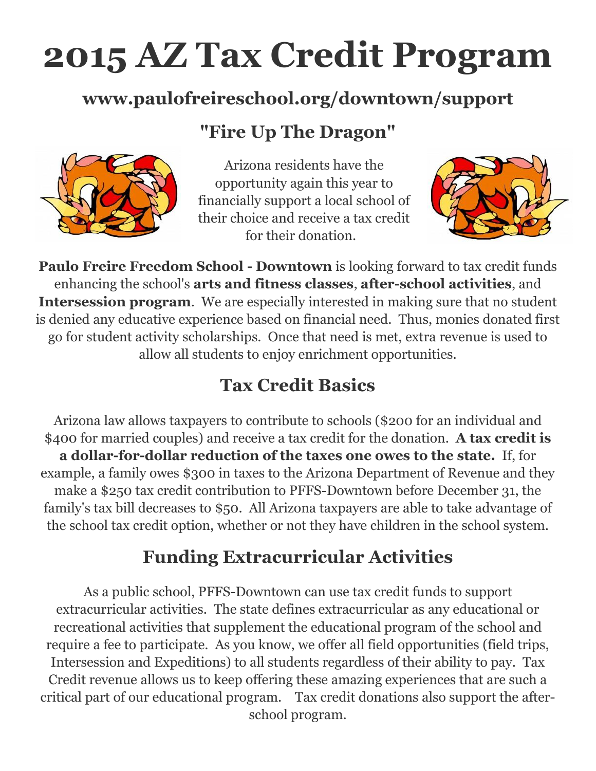# **2015 AZ Tax Credit Program**

#### **www.paulofreireschool.org/downtown/support**

## **"Fire Up The Dragon"**



Arizona residents have the opportunity again this year to financially support a local school of their choice and receive a tax credit for their donation.



**Paulo Freire Freedom School - Downtown** is looking forward to tax credit funds enhancing the school's **arts and fitness classes**, **after-school activities**, and **Intersession program**. We are especially interested in making sure that no student is denied any educative experience based on financial need. Thus, monies donated first go for student activity scholarships. Once that need is met, extra revenue is used to allow all students to enjoy enrichment opportunities.

## **Tax Credit Basics**

Arizona law allows taxpayers to contribute to schools (\$200 for an individual and \$400 for married couples) and receive a tax credit for the donation. **A tax credit is a dollar-for-dollar reduction of the taxes one owes to the state.** If, for example, a family owes \$300 in taxes to the Arizona Department of Revenue and they make a \$250 tax credit contribution to PFFS-Downtown before December 31, the family's tax bill decreases to \$50. All Arizona taxpayers are able to take advantage of the school tax credit option, whether or not they have children in the school system.

## **Funding Extracurricular Activities**

As a public school, PFFS-Downtown can use tax credit funds to support extracurricular activities. The state defines extracurricular as any educational or recreational activities that supplement the educational program of the school and require a fee to participate. As you know, we offer all field opportunities (field trips, Intersession and Expeditions) to all students regardless of their ability to pay. Tax Credit revenue allows us to keep offering these amazing experiences that are such a critical part of our educational program. Tax credit donations also support the afterschool program.